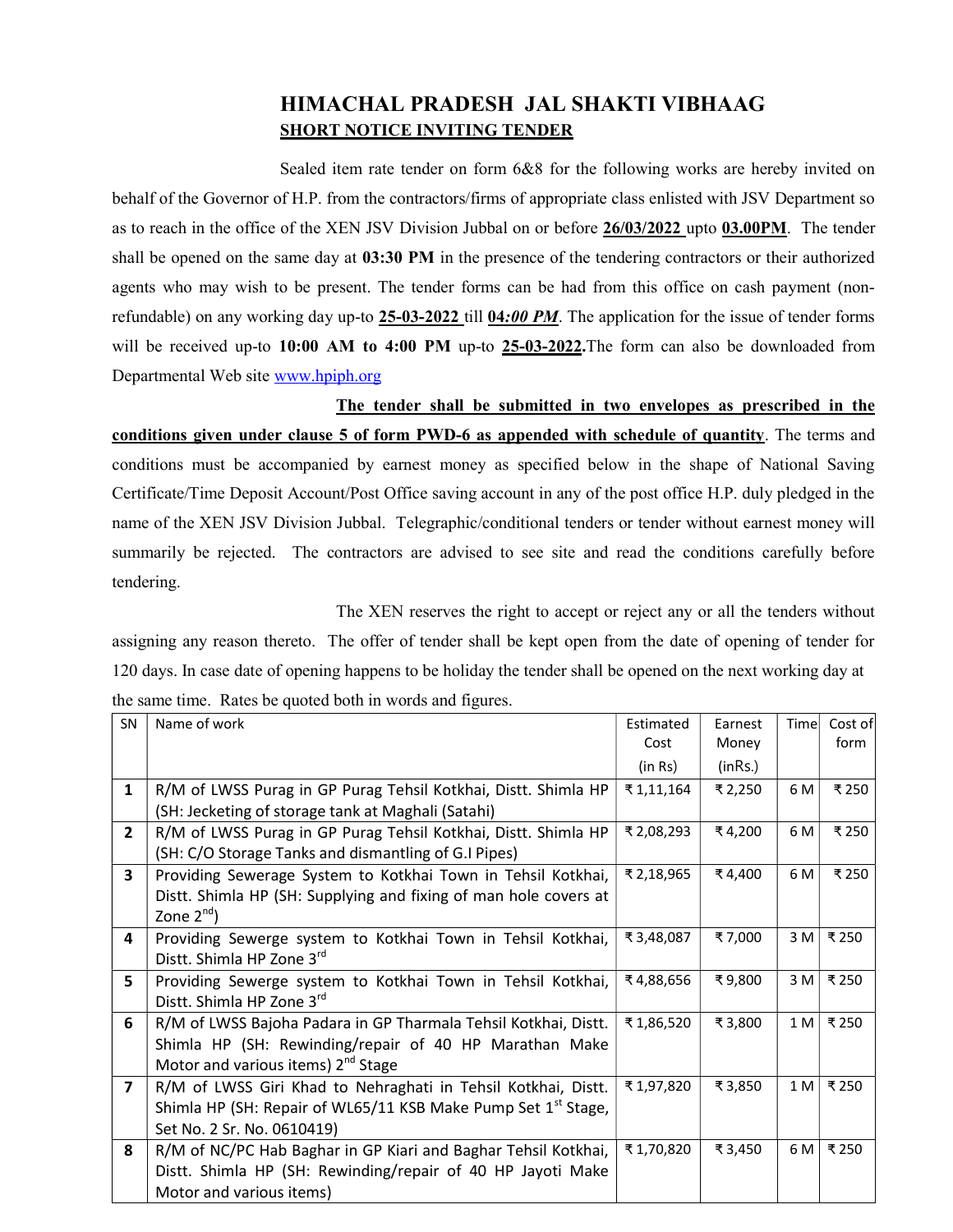## HIMACHAL PRADESH JAL SHAKTI VIBHAAG SHORT NOTICE INVITING TENDER

 Sealed item rate tender on form 6&8 for the following works are hereby invited on behalf of the Governor of H.P. from the contractors/firms of appropriate class enlisted with JSV Department so as to reach in the office of the XEN JSV Division Jubbal on or before 26/03/2022 upto 03.00PM. The tender shall be opened on the same day at 03:30 PM in the presence of the tendering contractors or their authorized agents who may wish to be present. The tender forms can be had from this office on cash payment (nonrefundable) on any working day up-to  $25-03-2022$  till  $04:00$  PM. The application for the issue of tender forms will be received up-to 10:00 AM to 4:00 PM up-to 25-03-2022. The form can also be downloaded from Departmental Web site www.hpiph.org

 The tender shall be submitted in two envelopes as prescribed in the conditions given under clause 5 of form PWD-6 as appended with schedule of quantity. The terms and conditions must be accompanied by earnest money as specified below in the shape of National Saving Certificate/Time Deposit Account/Post Office saving account in any of the post office H.P. duly pledged in the name of the XEN JSV Division Jubbal. Telegraphic/conditional tenders or tender without earnest money will summarily be rejected. The contractors are advised to see site and read the conditions carefully before tendering.

 The XEN reserves the right to accept or reject any or all the tenders without assigning any reason thereto. The offer of tender shall be kept open from the date of opening of tender for 120 days. In case date of opening happens to be holiday the tender shall be opened on the next working day at the same time. Rates be quoted both in words and figures.

| <b>SN</b>      | Name of work                                                              | Estimated  | Earnest | Time | Cost of |
|----------------|---------------------------------------------------------------------------|------------|---------|------|---------|
|                |                                                                           | Cost       | Money   |      | form    |
|                |                                                                           | (in Rs)    | (inRs.) |      |         |
| $\mathbf{1}$   | R/M of LWSS Purag in GP Purag Tehsil Kotkhai, Distt. Shimla HP            | ₹1,11,164  | ₹ 2,250 | 6 M  | ₹ 250   |
|                | (SH: Jecketing of storage tank at Maghali (Satahi)                        |            |         |      |         |
| $\overline{2}$ | R/M of LWSS Purag in GP Purag Tehsil Kotkhai, Distt. Shimla HP            | ₹ 2,08,293 | ₹4,200  | 6 M  | ₹ 250   |
|                | (SH: C/O Storage Tanks and dismantling of G.I Pipes)                      |            |         |      |         |
| 3              | Providing Sewerage System to Kotkhai Town in Tehsil Kotkhai,              | ₹ 2,18,965 | ₹4,400  | 6 M  | ₹ 250   |
|                | Distt. Shimla HP (SH: Supplying and fixing of man hole covers at          |            |         |      |         |
|                | Zone $2^{nd}$ )                                                           |            |         |      |         |
| 4              | Providing Sewerge system to Kotkhai Town in Tehsil Kotkhai,               | ₹3,48,087  | ₹7,000  | 3 M  | ₹ 250   |
|                | Distt. Shimla HP Zone 3rd                                                 |            |         |      |         |
| 5              | Providing Sewerge system to Kotkhai Town in Tehsil Kotkhai,               | ₹4,88,656  | ₹9,800  | 3M   | ₹250    |
|                | Distt. Shimla HP Zone 3rd                                                 |            |         |      |         |
| 6              | R/M of LWSS Bajoha Padara in GP Tharmala Tehsil Kotkhai, Distt.           | ₹1,86,520  | ₹3,800  | 1 M  | ₹ 250   |
|                | Shimla HP (SH: Rewinding/repair of 40 HP Marathan Make                    |            |         |      |         |
|                | Motor and various items) 2 <sup>nd</sup> Stage                            |            |         |      |         |
| $\overline{7}$ | R/M of LWSS Giri Khad to Nehraghati in Tehsil Kotkhai, Distt.             | ₹1,97,820  | ₹3,850  | 1 M  | ₹ 250   |
|                | Shimla HP (SH: Repair of WL65/11 KSB Make Pump Set 1 <sup>st</sup> Stage, |            |         |      |         |
|                | Set No. 2 Sr. No. 0610419)                                                |            |         |      |         |
| 8              | R/M of NC/PC Hab Baghar in GP Kiari and Baghar Tehsil Kotkhai,            | ₹1,70,820  | ₹3,450  | 6 M  | ₹ 250   |
|                | Distt. Shimla HP (SH: Rewinding/repair of 40 HP Jayoti Make               |            |         |      |         |
|                | Motor and various items)                                                  |            |         |      |         |